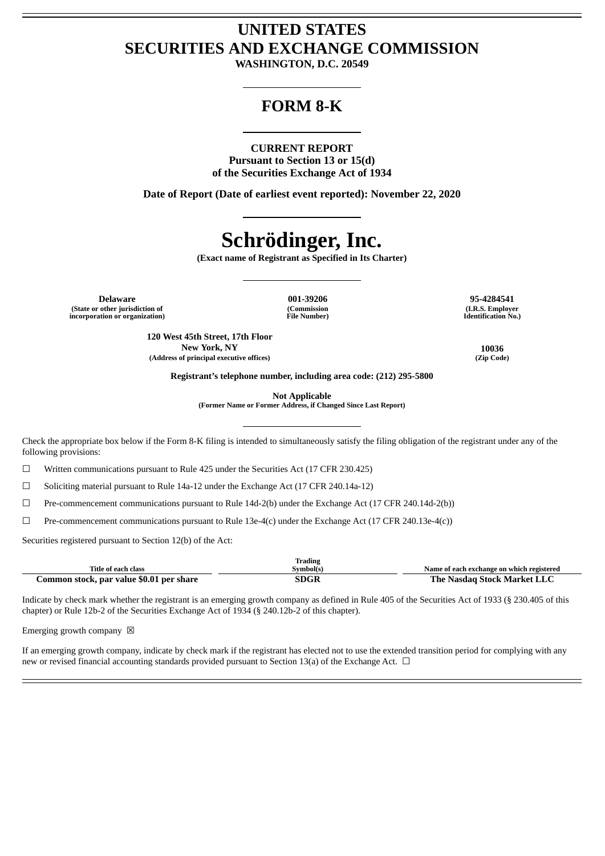## **UNITED STATES SECURITIES AND EXCHANGE COMMISSION**

**WASHINGTON, D.C. 20549**

### **FORM 8-K**

#### **CURRENT REPORT**

**Pursuant to Section 13 or 15(d) of the Securities Exchange Act of 1934**

**Date of Report (Date of earliest event reported): November 22, 2020**

# **Schrödinger, Inc.**

**(Exact name of Registrant as Specified in Its Charter)**

**Delaware 001-39206 95-4284541 (State or other jurisdiction of incorporation or organization)**

**(Commission File Number)**

**(I.R.S. Employer Identification No.)**

**120 West 45th Street, 17th Floor New York, NY 10036 (Address of principal executive offices) (Zip Code)**

**Registrant's telephone number, including area code: (212) 295-5800**

**Not Applicable**

**(Former Name or Former Address, if Changed Since Last Report)**

Check the appropriate box below if the Form 8-K filing is intended to simultaneously satisfy the filing obligation of the registrant under any of the following provisions:

☐ Written communications pursuant to Rule 425 under the Securities Act (17 CFR 230.425)

☐ Soliciting material pursuant to Rule 14a-12 under the Exchange Act (17 CFR 240.14a-12)

☐ Pre-commencement communications pursuant to Rule 14d-2(b) under the Exchange Act (17 CFR 240.14d-2(b))

 $\Box$  Pre-commencement communications pursuant to Rule 13e-4(c) under the Exchange Act (17 CFR 240.13e-4(c))

Securities registered pursuant to Section 12(b) of the Act:

|                                          | lrading   |                                           |
|------------------------------------------|-----------|-------------------------------------------|
| Title of each class                      | Symbol(s) | Name of each exchange on which registered |
| Common stock, par value \$0.01 per share | SDGR      | The Nasdag Stock Market LLC               |

Indicate by check mark whether the registrant is an emerging growth company as defined in Rule 405 of the Securities Act of 1933 (§ 230.405 of this chapter) or Rule 12b-2 of the Securities Exchange Act of 1934 (§ 240.12b-2 of this chapter).

Emerging growth company  $\boxtimes$ 

If an emerging growth company, indicate by check mark if the registrant has elected not to use the extended transition period for complying with any new or revised financial accounting standards provided pursuant to Section 13(a) of the Exchange Act.  $\Box$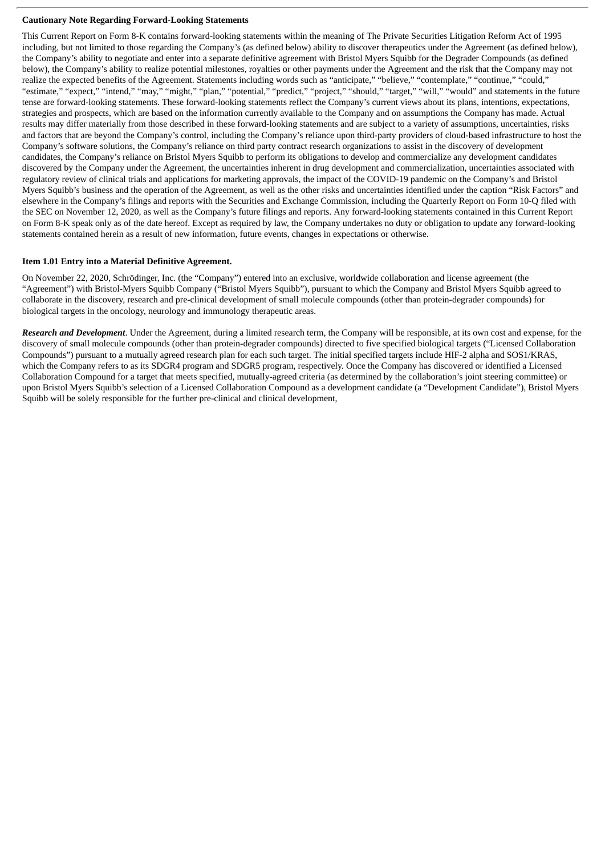#### **Cautionary Note Regarding Forward-Looking Statements**

This Current Report on Form 8-K contains forward-looking statements within the meaning of The Private Securities Litigation Reform Act of 1995 including, but not limited to those regarding the Company's (as defined below) ability to discover therapeutics under the Agreement (as defined below), the Company's ability to negotiate and enter into a separate definitive agreement with Bristol Myers Squibb for the Degrader Compounds (as defined below), the Company's ability to realize potential milestones, royalties or other payments under the Agreement and the risk that the Company may not realize the expected benefits of the Agreement. Statements including words such as "anticipate," "believe," "contemplate," "continue," "could," "estimate," "expect," "intend," "may," "might," "plan," "potential," "predict," "project," "should," "target," "will," "would" and statements in the future tense are forward-looking statements. These forward-looking statements reflect the Company's current views about its plans, intentions, expectations, strategies and prospects, which are based on the information currently available to the Company and on assumptions the Company has made. Actual results may differ materially from those described in these forward-looking statements and are subject to a variety of assumptions, uncertainties, risks and factors that are beyond the Company's control, including the Company's reliance upon third-party providers of cloud-based infrastructure to host the Company's software solutions, the Company's reliance on third party contract research organizations to assist in the discovery of development candidates, the Company's reliance on Bristol Myers Squibb to perform its obligations to develop and commercialize any development candidates discovered by the Company under the Agreement, the uncertainties inherent in drug development and commercialization, uncertainties associated with regulatory review of clinical trials and applications for marketing approvals, the impact of the COVID-19 pandemic on the Company's and Bristol Myers Squibb's business and the operation of the Agreement, as well as the other risks and uncertainties identified under the caption "Risk Factors" and elsewhere in the Company's filings and reports with the Securities and Exchange Commission, including the Quarterly Report on Form 10-Q filed with the SEC on November 12, 2020, as well as the Company's future filings and reports. Any forward-looking statements contained in this Current Report on Form 8-K speak only as of the date hereof. Except as required by law, the Company undertakes no duty or obligation to update any forward-looking statements contained herein as a result of new information, future events, changes in expectations or otherwise.

#### **Item 1.01 Entry into a Material Definitive Agreement.**

On November 22, 2020, Schrödinger, Inc. (the "Company") entered into an exclusive, worldwide collaboration and license agreement (the "Agreement") with Bristol-Myers Squibb Company ("Bristol Myers Squibb"), pursuant to which the Company and Bristol Myers Squibb agreed to collaborate in the discovery, research and pre-clinical development of small molecule compounds (other than protein-degrader compounds) for biological targets in the oncology, neurology and immunology therapeutic areas.

*Research and Development*. Under the Agreement, during a limited research term, the Company will be responsible, at its own cost and expense, for the discovery of small molecule compounds (other than protein-degrader compounds) directed to five specified biological targets ("Licensed Collaboration Compounds") pursuant to a mutually agreed research plan for each such target. The initial specified targets include HIF-2 alpha and SOS1/KRAS, which the Company refers to as its SDGR4 program and SDGR5 program, respectively. Once the Company has discovered or identified a Licensed Collaboration Compound for a target that meets specified, mutually-agreed criteria (as determined by the collaboration's joint steering committee) or upon Bristol Myers Squibb's selection of a Licensed Collaboration Compound as a development candidate (a "Development Candidate"), Bristol Myers Squibb will be solely responsible for the further pre-clinical and clinical development,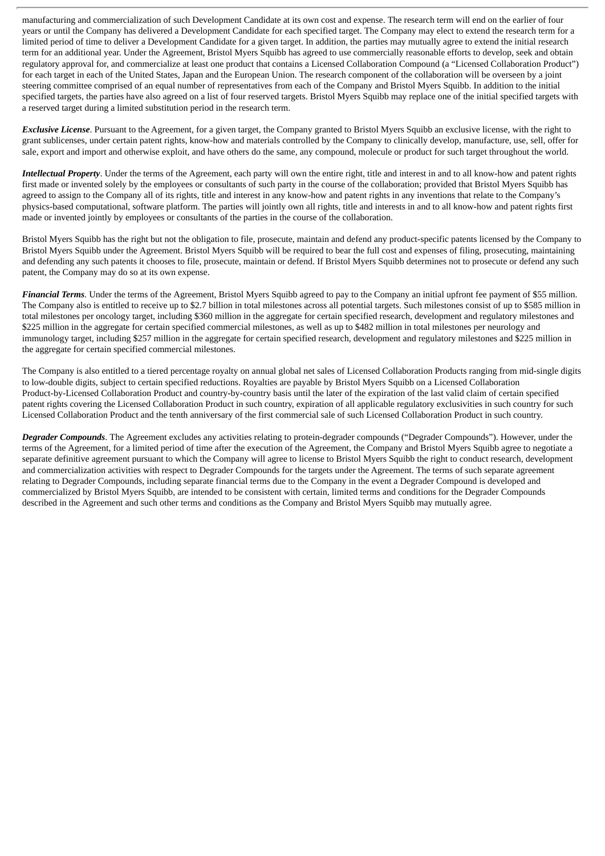manufacturing and commercialization of such Development Candidate at its own cost and expense. The research term will end on the earlier of four years or until the Company has delivered a Development Candidate for each specified target. The Company may elect to extend the research term for a limited period of time to deliver a Development Candidate for a given target. In addition, the parties may mutually agree to extend the initial research term for an additional year. Under the Agreement, Bristol Myers Squibb has agreed to use commercially reasonable efforts to develop, seek and obtain regulatory approval for, and commercialize at least one product that contains a Licensed Collaboration Compound (a "Licensed Collaboration Product") for each target in each of the United States, Japan and the European Union. The research component of the collaboration will be overseen by a joint steering committee comprised of an equal number of representatives from each of the Company and Bristol Myers Squibb. In addition to the initial specified targets, the parties have also agreed on a list of four reserved targets. Bristol Myers Squibb may replace one of the initial specified targets with a reserved target during a limited substitution period in the research term.

*Exclusive License*. Pursuant to the Agreement, for a given target, the Company granted to Bristol Myers Squibb an exclusive license, with the right to grant sublicenses, under certain patent rights, know-how and materials controlled by the Company to clinically develop, manufacture, use, sell, offer for sale, export and import and otherwise exploit, and have others do the same, any compound, molecule or product for such target throughout the world.

*Intellectual Property*. Under the terms of the Agreement, each party will own the entire right, title and interest in and to all know-how and patent rights first made or invented solely by the employees or consultants of such party in the course of the collaboration; provided that Bristol Myers Squibb has agreed to assign to the Company all of its rights, title and interest in any know-how and patent rights in any inventions that relate to the Company's physics-based computational, software platform. The parties will jointly own all rights, title and interests in and to all know-how and patent rights first made or invented jointly by employees or consultants of the parties in the course of the collaboration.

Bristol Myers Squibb has the right but not the obligation to file, prosecute, maintain and defend any product-specific patents licensed by the Company to Bristol Myers Squibb under the Agreement. Bristol Myers Squibb will be required to bear the full cost and expenses of filing, prosecuting, maintaining and defending any such patents it chooses to file, prosecute, maintain or defend. If Bristol Myers Squibb determines not to prosecute or defend any such patent, the Company may do so at its own expense.

*Financial Terms*. Under the terms of the Agreement, Bristol Myers Squibb agreed to pay to the Company an initial upfront fee payment of \$55 million. The Company also is entitled to receive up to \$2.7 billion in total milestones across all potential targets. Such milestones consist of up to \$585 million in total milestones per oncology target, including \$360 million in the aggregate for certain specified research, development and regulatory milestones and \$225 million in the aggregate for certain specified commercial milestones, as well as up to \$482 million in total milestones per neurology and immunology target, including \$257 million in the aggregate for certain specified research, development and regulatory milestones and \$225 million in the aggregate for certain specified commercial milestones.

The Company is also entitled to a tiered percentage royalty on annual global net sales of Licensed Collaboration Products ranging from mid-single digits to low-double digits, subject to certain specified reductions. Royalties are payable by Bristol Myers Squibb on a Licensed Collaboration Product-by-Licensed Collaboration Product and country-by-country basis until the later of the expiration of the last valid claim of certain specified patent rights covering the Licensed Collaboration Product in such country, expiration of all applicable regulatory exclusivities in such country for such Licensed Collaboration Product and the tenth anniversary of the first commercial sale of such Licensed Collaboration Product in such country.

*Degrader Compounds*. The Agreement excludes any activities relating to protein-degrader compounds ("Degrader Compounds"). However, under the terms of the Agreement, for a limited period of time after the execution of the Agreement, the Company and Bristol Myers Squibb agree to negotiate a separate definitive agreement pursuant to which the Company will agree to license to Bristol Myers Squibb the right to conduct research, development and commercialization activities with respect to Degrader Compounds for the targets under the Agreement. The terms of such separate agreement relating to Degrader Compounds, including separate financial terms due to the Company in the event a Degrader Compound is developed and commercialized by Bristol Myers Squibb, are intended to be consistent with certain, limited terms and conditions for the Degrader Compounds described in the Agreement and such other terms and conditions as the Company and Bristol Myers Squibb may mutually agree.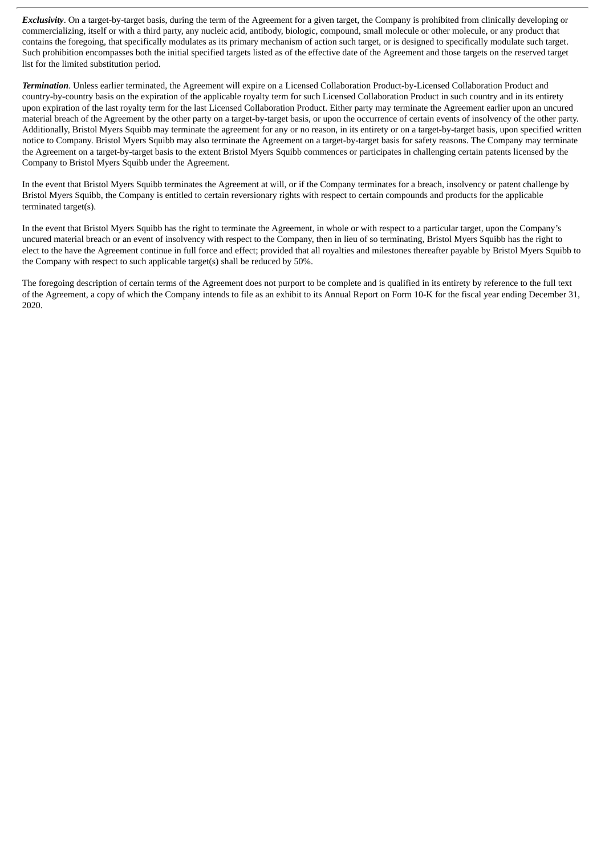*Exclusivity*. On a target-by-target basis, during the term of the Agreement for a given target, the Company is prohibited from clinically developing or commercializing, itself or with a third party, any nucleic acid, antibody, biologic, compound, small molecule or other molecule, or any product that contains the foregoing, that specifically modulates as its primary mechanism of action such target, or is designed to specifically modulate such target. Such prohibition encompasses both the initial specified targets listed as of the effective date of the Agreement and those targets on the reserved target list for the limited substitution period.

*Termination*. Unless earlier terminated, the Agreement will expire on a Licensed Collaboration Product-by-Licensed Collaboration Product and country-by-country basis on the expiration of the applicable royalty term for such Licensed Collaboration Product in such country and in its entirety upon expiration of the last royalty term for the last Licensed Collaboration Product. Either party may terminate the Agreement earlier upon an uncured material breach of the Agreement by the other party on a target-by-target basis, or upon the occurrence of certain events of insolvency of the other party. Additionally, Bristol Myers Squibb may terminate the agreement for any or no reason, in its entirety or on a target-by-target basis, upon specified written notice to Company. Bristol Myers Squibb may also terminate the Agreement on a target-by-target basis for safety reasons. The Company may terminate the Agreement on a target-by-target basis to the extent Bristol Myers Squibb commences or participates in challenging certain patents licensed by the Company to Bristol Myers Squibb under the Agreement.

In the event that Bristol Myers Squibb terminates the Agreement at will, or if the Company terminates for a breach, insolvency or patent challenge by Bristol Myers Squibb, the Company is entitled to certain reversionary rights with respect to certain compounds and products for the applicable terminated target(s).

In the event that Bristol Myers Squibb has the right to terminate the Agreement, in whole or with respect to a particular target, upon the Company's uncured material breach or an event of insolvency with respect to the Company, then in lieu of so terminating, Bristol Myers Squibb has the right to elect to the have the Agreement continue in full force and effect; provided that all royalties and milestones thereafter payable by Bristol Myers Squibb to the Company with respect to such applicable target(s) shall be reduced by 50%.

The foregoing description of certain terms of the Agreement does not purport to be complete and is qualified in its entirety by reference to the full text of the Agreement, a copy of which the Company intends to file as an exhibit to its Annual Report on Form 10-K for the fiscal year ending December 31, 2020.